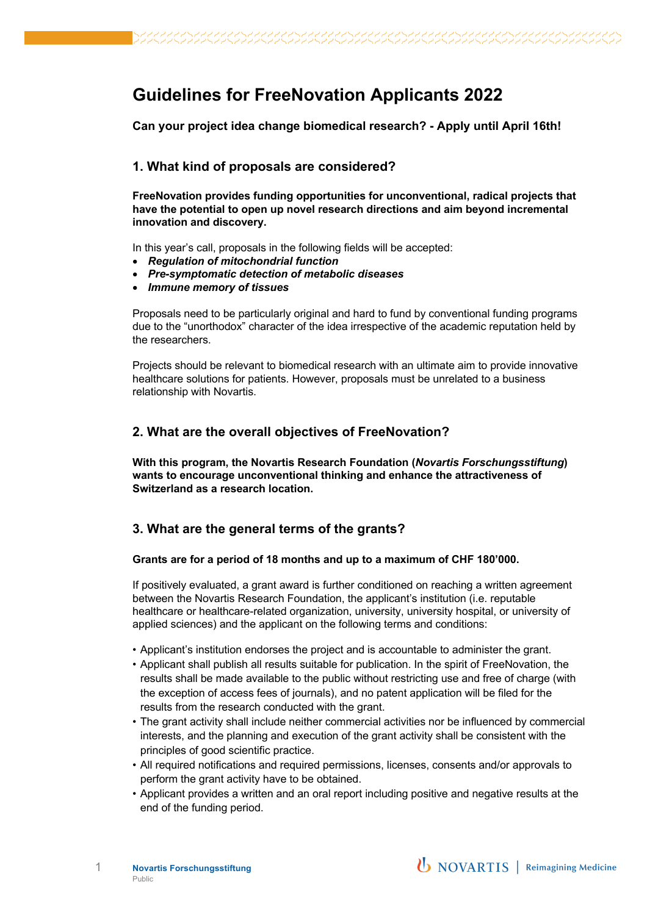# **Guidelines for FreeNovation Applicants 2022**

**Can your project idea change biomedical research? - Apply until April 16th!**

## **1. What kind of proposals are considered?**

**FreeNovation provides funding opportunities for unconventional, radical projects that have the potential to open up novel research directions and aim beyond incremental innovation and discovery.**

In this year's call, proposals in the following fields will be accepted:

- *Regulation of mitochondrial function*
- *Pre-symptomatic detection of metabolic diseases*
- *Immune memory of tissues*

Proposals need to be particularly original and hard to fund by conventional funding programs due to the "unorthodox" character of the idea irrespective of the academic reputation held by the researchers.

Projects should be relevant to biomedical research with an ultimate aim to provide innovative healthcare solutions for patients. However, proposals must be unrelated to a business relationship with Novartis.

# **2. What are the overall objectives of FreeNovation?**

**With this program, the Novartis Research Foundation (***Novartis Forschungsstiftung***) wants to encourage unconventional thinking and enhance the attractiveness of Switzerland as a research location.** 

#### **3. What are the general terms of the grants?**

#### **Grants are for a period of 18 months and up to a maximum of CHF 180'000.**

If positively evaluated, a grant award is further conditioned on reaching a written agreement between the Novartis Research Foundation, the applicant's institution (i.e. reputable healthcare or healthcare-related organization, university, university hospital, or university of applied sciences) and the applicant on the following terms and conditions:

- Applicant's institution endorses the project and is accountable to administer the grant.
- Applicant shall publish all results suitable for publication. In the spirit of FreeNovation, the results shall be made available to the public without restricting use and free of charge (with the exception of access fees of journals), and no patent application will be filed for the results from the research conducted with the grant.
- The grant activity shall include neither commercial activities nor be influenced by commercial interests, and the planning and execution of the grant activity shall be consistent with the principles of good scientific practice.
- All required notifications and required permissions, licenses, consents and/or approvals to perform the grant activity have to be obtained.
- Applicant provides a written and an oral report including positive and negative results at the end of the funding period.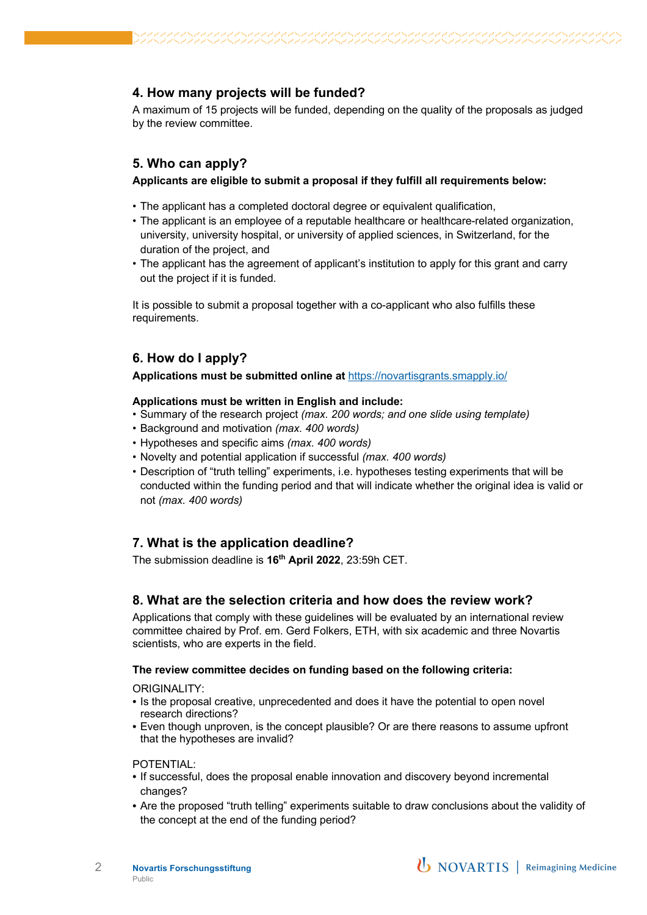# **4. How many projects will be funded?**

A maximum of 15 projects will be funded, depending on the quality of the proposals as judged by the review committee.

# **5. Who can apply?**

#### **Applicants are eligible to submit a proposal if they fulfill all requirements below:**

- The applicant has a completed doctoral degree or equivalent qualification,
- The applicant is an employee of a reputable healthcare or healthcare-related organization, university, university hospital, or university of applied sciences, in Switzerland, for the duration of the project, and
- The applicant has the agreement of applicant's institution to apply for this grant and carry out the project if it is funded.

It is possible to submit a proposal together with a co-applicant who also fulfills these requirements.

## **6. How do I apply?**

**Applications must be submitted online at** https://novartisgrants.smapply.io/

#### **Applications must be written in English and include:**

- Summary of the research project *(max. 200 words; and one slide using template)*
- Background and motivation *(max. 400 words)*
- Hypotheses and specific aims *(max. 400 words)*
- Novelty and potential application if successful *(max. 400 words)*
- Description of "truth telling" experiments, i.e. hypotheses testing experiments that will be conducted within the funding period and that will indicate whether the original idea is valid or not *(max. 400 words)*

# **7. What is the application deadline?**

The submission deadline is **16th April 2022**, 23:59h CET.

### **8. What are the selection criteria and how does the review work?**

Applications that comply with these guidelines will be evaluated by an international review committee chaired by Prof. em. Gerd Folkers, ETH, with six academic and three Novartis scientists, who are experts in the field.

#### **The review committee decides on funding based on the following criteria:**

ORIGINALITY:

- Is the proposal creative, unprecedented and does it have the potential to open novel research directions?
- Even though unproven, is the concept plausible? Or are there reasons to assume upfront that the hypotheses are invalid?

POTENTIAL:

- If successful, does the proposal enable innovation and discovery beyond incremental changes?
- Are the proposed "truth telling" experiments suitable to draw conclusions about the validity of the concept at the end of the funding period?